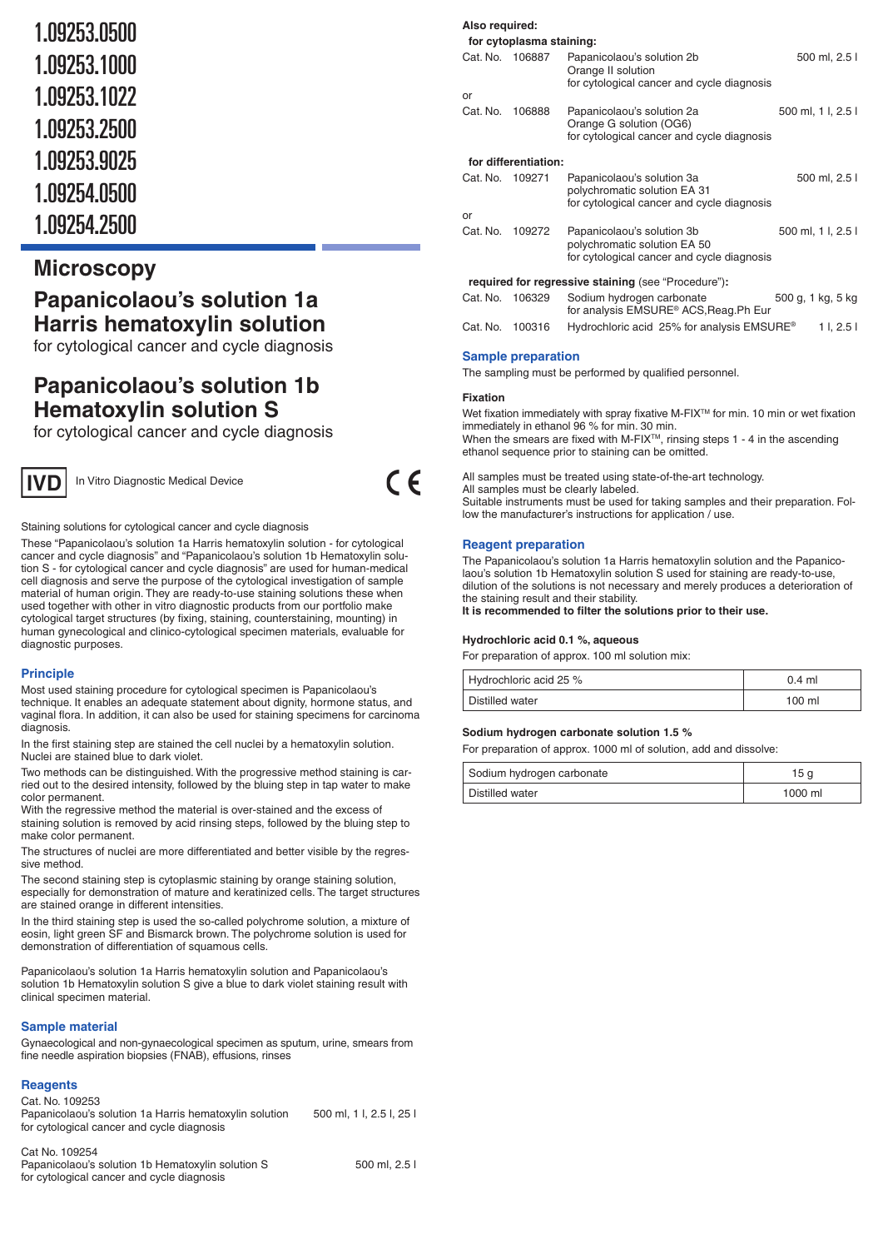| 1.09253.0500 |
|--------------|
| 1.09253.1000 |
| 1.09253.1022 |
| 1.09253.2500 |
| 1.09253.9025 |
| 1.09254.0500 |
| 1.09254.2500 |

## **Microscopy**

# **Papanicolaou's solution 1a Harris hematoxylin solution**

for cytological cancer and cycle diagnosis

# **Papanicolaou's solution 1b Hematoxylin solution S**

for cytological cancer and cycle diagnosis



In Vitro Diagnostic Medical Device

Staining solutions for cytological cancer and cycle diagnosis

These "Papanicolaou's solution 1a Harris hematoxylin solution - for cytological cancer and cycle diagnosis" and "Papanicolaou's solution 1b Hematoxylin solution S - for cytological cancer and cycle diagnosis" are used for human-medical cell diagnosis and serve the purpose of the cytological investigation of sample material of human origin. They are ready-to-use staining solutions these when used together with other in vitro diagnostic products from our portfolio make cytological target structures (by fixing, staining, counterstaining, mounting) in human gynecological and clinico-cytological specimen materials, evaluable for diagnostic purposes.

## **Principle**

Most used staining procedure for cytological specimen is Papanicolaou's technique. It enables an adequate statement about dignity, hormone status, and vaginal flora. In addition, it can also be used for staining specimens for carcinoma diagnosis.

In the first staining step are stained the cell nuclei by a hematoxylin solution. Nuclei are stained blue to dark violet.

Two methods can be distinguished. With the progressive method staining is carried out to the desired intensity, followed by the bluing step in tap water to make color permanent.

With the regressive method the material is over-stained and the excess of staining solution is removed by acid rinsing steps, followed by the bluing step to make color permanent.

The structures of nuclei are more differentiated and better visible by the regressive method.

The second staining step is cytoplasmic staining by orange staining solution, especially for demonstration of mature and keratinized cells. The target structures are stained orange in different intensities

In the third staining step is used the so-called polychrome solution, a mixture of eosin, light green SF and Bismarck brown. The polychrome solution is used for demonstration of differentiation of squamous cells.

Papanicolaou's solution 1a Harris hematoxylin solution and Papanicolaou's solution 1b Hematoxylin solution S give a blue to dark violet staining result with clinical specimen material.

#### **Sample material**

Gynaecological and non-gynaecological specimen as sputum, urine, smears from fine needle aspiration biopsies (FNAB), effusions, rinses

## **Reagents**

Cat. No. 109253 Papanicolaou's solution 1a Harris hematoxylin solution 500 ml, 1 l, 2.5 l, 25 l for cytological cancer and cycle diagnosis

| Cat No. 109254                                    |             |
|---------------------------------------------------|-------------|
| Papanicolaou's solution 1b Hematoxylin solution S | 500 ml. 2.5 |
| for cytological cancer and cycle diagnosis        |             |

## **Also required:**

|          | for cytoplasma staining: |                                                                                                          |                    |               |
|----------|--------------------------|----------------------------------------------------------------------------------------------------------|--------------------|---------------|
| Cat. No. | 106887                   | Papanicolaou's solution 2b<br>Orange II solution<br>for cytological cancer and cycle diagnosis           |                    | 500 ml, 2.5 l |
| or       |                          |                                                                                                          |                    |               |
| Cat. No. | 106888                   | Papanicolaou's solution 2a<br>Orange G solution (OG6)<br>for cytological cancer and cycle diagnosis      | 500 ml, 1 l, 2.5 l |               |
|          | for differentiation:     |                                                                                                          |                    |               |
| Cat. No. | 109271                   | Papanicolaou's solution 3a<br>polychromatic solution EA 31<br>for cytological cancer and cycle diagnosis |                    | 500 ml, 2.5 l |
| or       |                          |                                                                                                          |                    |               |
| Cat. No. | 109272                   | Papanicolaou's solution 3b<br>polychromatic solution EA 50<br>for cytological cancer and cycle diagnosis | 500 ml, 1 l, 2.5 l |               |
|          |                          | required for regressive staining (see "Procedure"):                                                      |                    |               |
| Cat. No. | 106329                   | Sodium hydrogen carbonate<br>for analysis EMSURE <sup>®</sup> ACS, Reag. Ph Eur                          | 500 g, 1 kg, 5 kg  |               |
| Cat. No. | 100316                   | Hydrochloric acid 25% for analysis EMSURE <sup>®</sup>                                                   |                    | 11, 2.51      |

#### **Sample preparation**

The sampling must be performed by qualified personnel.

#### **Fixation**

 $\epsilon$ 

Wet fixation immediately with spray fixative M-FIX™ for min. 10 min or wet fixation immediately in ethanol 96 % for min. 30 min. When the smears are fixed with M-FIX<sup>™</sup>, rinsing steps 1 - 4 in the ascending ethanol sequence prior to staining can be omitted.

All samples must be treated using state-of-the-art technology. All samples must be clearly labeled. Suitable instruments must be used for taking samples and their preparation. Follow the manufacturer's instructions for application / use.

#### **Reagent preparation**

The Papanicolaou's solution 1a Harris hematoxylin solution and the Papanicolaou's solution 1b Hematoxylin solution S used for staining are ready-to-use, dilution of the solutions is not necessary and merely produces a deterioration of the staining result and their stability.

**It is recommended to filter the solutions prior to their use.**

#### **Hydrochloric acid 0.1 %, aqueous**

For preparation of approx. 100 ml solution mix:

| Hydrochloric acid 25 % | $0.4$ ml |
|------------------------|----------|
| Distilled water        | 100 ml   |

#### **Sodium hydrogen carbonate solution 1.5 %**

For preparation of approx. 1000 ml of solution, add and dissolve:

| Sodium hydrogen carbonate | 15 a    |
|---------------------------|---------|
| Distilled water           | 1000 ml |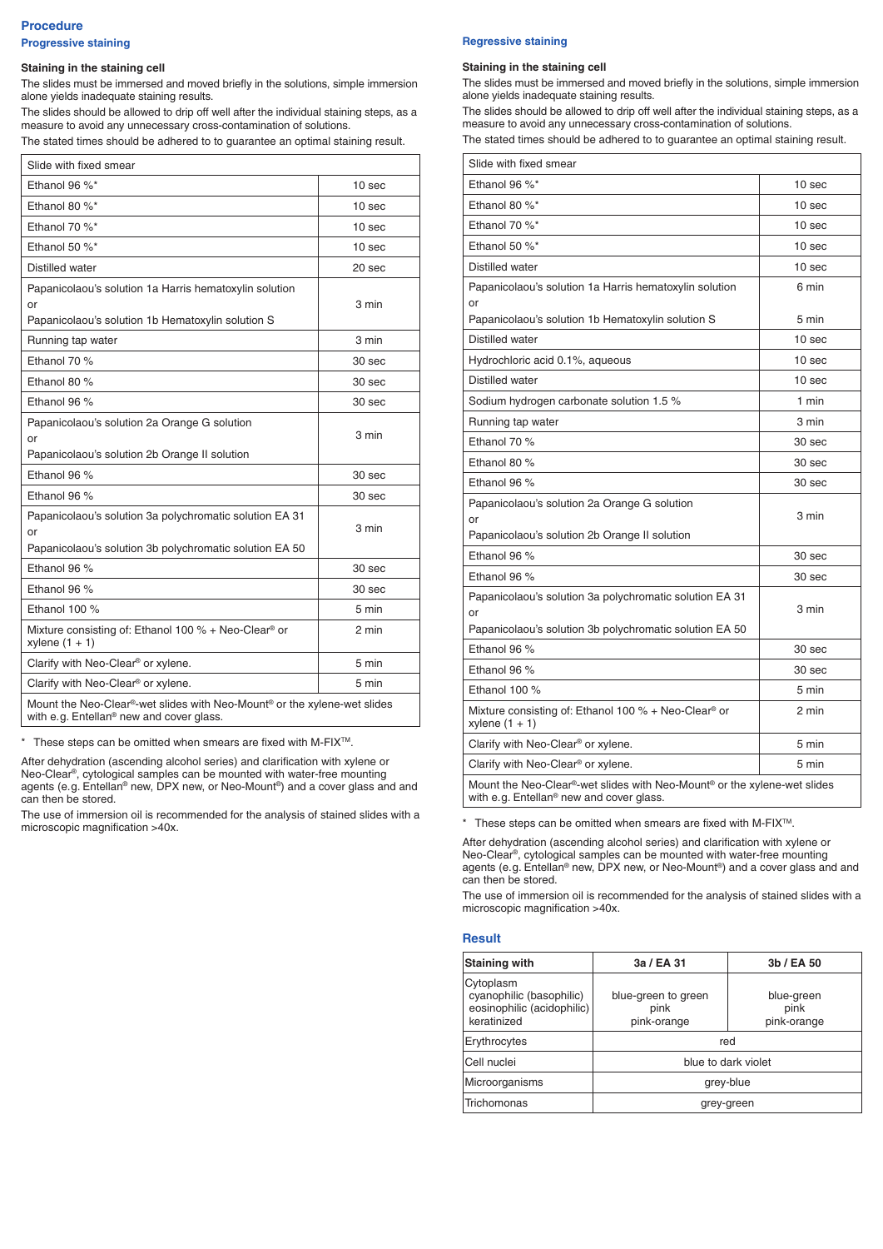## **Procedure Progressive staining**

#### **Staining in the staining cell**

The slides must be immersed and moved briefly in the solutions, simple immersion alone yields inadequate staining results.

The slides should be allowed to drip off well after the individual staining steps, as a measure to avoid any unnecessary cross-contamination of solutions. The stated times should be adhered to to guarantee an optimal staining result.

| Slide with fixed smear                                                                                                           |                   |  |
|----------------------------------------------------------------------------------------------------------------------------------|-------------------|--|
| Ethanol 96 %*                                                                                                                    | 10 sec            |  |
| Ethanol 80 %*                                                                                                                    | 10 <sub>sec</sub> |  |
| Ethanol 70 %*                                                                                                                    | 10 sec            |  |
| Ethanol 50 %*                                                                                                                    | 10 <sub>sec</sub> |  |
| Distilled water                                                                                                                  | 20 sec            |  |
| Papanicolaou's solution 1a Harris hematoxylin solution<br>or<br>Papanicolaou's solution 1b Hematoxylin solution S                | 3 min             |  |
| Running tap water                                                                                                                | 3 min             |  |
| Ethanol 70 %                                                                                                                     | 30 <sub>sec</sub> |  |
| Ethanol 80 %                                                                                                                     | 30 sec            |  |
| Ethanol 96 %                                                                                                                     | 30 sec            |  |
| Papanicolaou's solution 2a Orange G solution<br>or<br>Papanicolaou's solution 2b Orange II solution                              | 3 min             |  |
| Ethanol 96 %                                                                                                                     | 30 sec            |  |
| Ethanol 96 %                                                                                                                     | 30 sec            |  |
| Papanicolaou's solution 3a polychromatic solution EA 31<br>or<br>Papanicolaou's solution 3b polychromatic solution EA 50         | 3 min             |  |
| Ethanol 96 %                                                                                                                     | 30 sec            |  |
| Ethanol 96 %                                                                                                                     | 30 sec            |  |
| Ethanol 100 %                                                                                                                    | 5 min             |  |
| Mixture consisting of: Ethanol 100 % + Neo-Clear <sup>®</sup> or<br>xylene $(1 + 1)$                                             | 2 min             |  |
| Clarify with Neo-Clear <sup>®</sup> or xylene.                                                                                   | 5 min             |  |
| Clarify with Neo-Clear <sup>®</sup> or xylene.                                                                                   | 5 min             |  |
| Mount the Neo-Clear®-wet slides with Neo-Mount® or the xylene-wet slides<br>with e.g. Entellan <sup>®</sup> new and cover glass. |                   |  |

\* These steps can be omitted when smears are fixed with M-FIX<sup>TM</sup>.

After dehydration (ascending alcohol series) and clarification with xylene or Neo-Clear®, cytological samples can be mounted with water-free mounting agents (e. g. Entellan® new, DPX new, or Neo-Mount®) and a cover glass and and can then be stored.

The use of immersion oil is recommended for the analysis of stained slides with a microscopic magnification >40x.

#### **Regressive staining**

#### **Staining in the staining cell**

The slides must be immersed and moved briefly in the solutions, simple immersion alone yields inadequate staining results.

The slides should be allowed to drip off well after the individual staining steps, as a measure to avoid any unnecessary cross-contamination of solutions. The stated times should be adhered to to guarantee an optimal staining result.

| Slide with fixed smear                                                                                                   |        |  |
|--------------------------------------------------------------------------------------------------------------------------|--------|--|
| Ethanol 96 %*                                                                                                            | 10 sec |  |
| Ethanol 80 %*                                                                                                            | 10 sec |  |
| Ethanol 70 %*                                                                                                            | 10 sec |  |
| Ethanol 50 %*                                                                                                            | 10 sec |  |
| Distilled water                                                                                                          | 10 sec |  |
| Papanicolaou's solution 1a Harris hematoxylin solution<br>or                                                             | 6 min  |  |
| Papanicolaou's solution 1b Hematoxylin solution S                                                                        | 5 min  |  |
| Distilled water                                                                                                          | 10 sec |  |
| Hydrochloric acid 0.1%, aqueous                                                                                          | 10 sec |  |
| Distilled water                                                                                                          | 10 sec |  |
| Sodium hydrogen carbonate solution 1.5 %                                                                                 | 1 min  |  |
| Running tap water                                                                                                        | 3 min  |  |
| Ethanol 70 %                                                                                                             | 30 sec |  |
| Ethanol 80 %                                                                                                             | 30 sec |  |
| Ethanol 96 %                                                                                                             | 30 sec |  |
| Papanicolaou's solution 2a Orange G solution<br>or                                                                       | 3 min  |  |
| Papanicolaou's solution 2b Orange II solution                                                                            |        |  |
| Ethanol 96 %                                                                                                             | 30 sec |  |
| Ethanol 96 %                                                                                                             | 30 sec |  |
| Papanicolaou's solution 3a polychromatic solution EA 31<br>or<br>Papanicolaou's solution 3b polychromatic solution EA 50 | 3 min  |  |
| Ethanol 96 %                                                                                                             | 30 sec |  |
| Ethanol 96 %                                                                                                             | 30 sec |  |
| Ethanol 100 %                                                                                                            | 5 min  |  |
| Mixture consisting of: Ethanol 100 % + Neo-Clear <sup>®</sup> or<br>xylene $(1 + 1)$                                     | 2 min  |  |
| Clarify with Neo-Clear <sup>®</sup> or xylene.                                                                           | 5 min  |  |
| Clarify with Neo-Clear <sup>®</sup> or xylene.                                                                           | 5 min  |  |
| Mount the Neo-Clear®-wet slides with Neo-Mount® or the xylene-wet slides<br>with e.g. Entellan® new and cover glass.     |        |  |

\* These steps can be omitted when smears are fixed with M-FIX<sup>TM</sup>.

After dehydration (ascending alcohol series) and clarification with xylene or Neo-Clear®, cytological samples can be mounted with water-free mounting agents (e. g. Entellan® new, DPX new, or Neo-Mount®) and a cover glass and and can then be stored.

The use of immersion oil is recommended for the analysis of stained slides with a microscopic magnification >40x.

#### **Result**

| Staining with                                                                      | 3a / EA 31                                 | 3b / EA 50                        |
|------------------------------------------------------------------------------------|--------------------------------------------|-----------------------------------|
| Cytoplasm<br>cyanophilic (basophilic)<br>eosinophilic (acidophilic)<br>keratinized | blue-green to green<br>pink<br>pink-orange | blue-green<br>pink<br>pink-orange |
| Erythrocytes                                                                       | red                                        |                                   |
| <b>Cell nuclei</b>                                                                 | blue to dark violet                        |                                   |
| Microorganisms                                                                     | grey-blue                                  |                                   |
| Trichomonas                                                                        | grey-green                                 |                                   |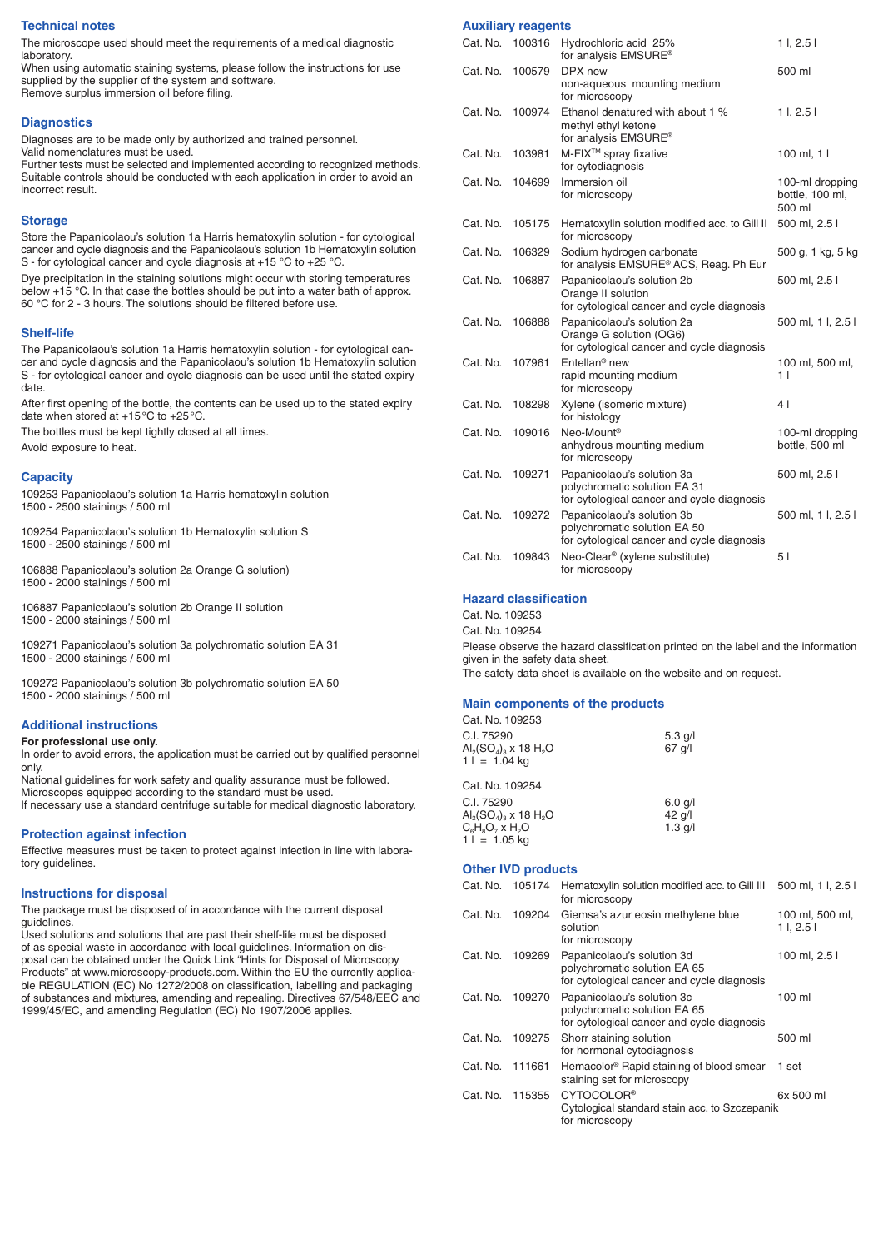#### **Technical notes**

The microscope used should meet the requirements of a medical diagnostic laboratory.

When using automatic staining systems, please follow the instructions for use supplied by the supplier of the system and software. Remove surplus immersion oil before filing.

#### **Diagnostics**

Diagnoses are to be made only by authorized and trained personnel. Valid nomenclatures must be used.

Further tests must be selected and implemented according to recognized methods. Suitable controls should be conducted with each application in order to avoid an incorrect result.

#### **Storage**

Store the Papanicolaou's solution 1a Harris hematoxylin solution - for cytological cancer and cycle diagnosis and the Papanicolaou's solution 1b Hematoxylin solution S - for cytological cancer and cycle diagnosis at +15 °C to +25 °C.

Dye precipitation in the staining solutions might occur with storing temperatures below +15 °C. In that case the bottles should be put into a water bath of approx. 60 °C for 2 - 3 hours. The solutions should be filtered before use.

#### **Shelf-life**

The Papanicolaou's solution 1a Harris hematoxylin solution - for cytological cancer and cycle diagnosis and the Papanicolaou's solution 1b Hematoxylin solution S - for cytological cancer and cycle diagnosis can be used until the stated expiry date.

After first opening of the bottle, the contents can be used up to the stated expiry date when stored at +15 °C to +25 °C.

The bottles must be kept tightly closed at all times.

Avoid exposure to heat.

#### **Capacity**

109253 Papanicolaou's solution 1a Harris hematoxylin solution 1500 - 2500 stainings / 500 ml

109254 Papanicolaou's solution 1b Hematoxylin solution S 1500 - 2500 stainings / 500 ml

106888 Papanicolaou's solution 2a Orange G solution) 1500 - 2000 stainings / 500 ml

106887 Papanicolaou's solution 2b Orange II solution 1500 - 2000 stainings / 500 ml

109271 Papanicolaou's solution 3a polychromatic solution EA 31 1500 - 2000 stainings / 500 ml

109272 Papanicolaou's solution 3b polychromatic solution EA 50 1500 - 2000 stainings / 500 ml

### **Additional instructions**

#### **For professional use only.**

In order to avoid errors, the application must be carried out by qualified personnel only.

National guidelines for work safety and quality assurance must be followed. Microscopes equipped according to the standard must be used. If necessary use a standard centrifuge suitable for medical diagnostic laboratory.

#### **Protection against infection**

Effective measures must be taken to protect against infection in line with laboratory guidelines.

#### **Instructions for disposal**

The package must be disposed of in accordance with the current disposal guidelines.

Used solutions and solutions that are past their shelf-life must be disposed of as special waste in accordance with local guidelines. Information on disposal can be obtained under the Quick Link "Hints for Disposal of Microscopy Products" at www.microscopy-products.com. Within the EU the currently applicable REGULATION (EC) No 1272/2008 on classification, labelling and packaging of substances and mixtures, amending and repealing. Directives 67/548/EEC and 1999/45/EC, and amending Regulation (EC) No 1907/2006 applies.

#### **Auxiliary reagents**

| Cat. No. | 100316 | Hydrochloric acid 25%<br>for analysis EMSURE <sup>®</sup>                                                | 11, 2.51                                     |
|----------|--------|----------------------------------------------------------------------------------------------------------|----------------------------------------------|
| Cat. No. | 100579 | DPX new<br>non-aqueous mounting medium<br>for microscopy                                                 | 500 ml                                       |
| Cat. No. | 100974 | Ethanol denatured with about 1 %<br>methyl ethyl ketone<br>for analysis EMSURE®                          | 11, 2.51                                     |
| Cat. No. | 103981 | M-FIX <sup>™</sup> spray fixative<br>for cytodiagnosis                                                   | 100 ml, $11$                                 |
| Cat. No. | 104699 | Immersion oil<br>for microscopy                                                                          | 100-ml dropping<br>bottle, 100 ml,<br>500 ml |
| Cat. No. | 105175 | Hematoxylin solution modified acc. to Gill II<br>for microscopy                                          | 500 ml, 2.5 l                                |
| Cat. No. | 106329 | Sodium hydrogen carbonate<br>for analysis EMSURE® ACS, Reag. Ph Eur                                      | 500 g, 1 kg, 5 kg                            |
| Cat. No. | 106887 | Papanicolaou's solution 2b<br>Orange II solution<br>for cytological cancer and cycle diagnosis           | 500 ml, 2.5 l                                |
| Cat. No. | 106888 | Papanicolaou's solution 2a<br>Orange G solution (OG6)<br>for cytological cancer and cycle diagnosis      | 500 ml, 1 l, 2.5 l                           |
| Cat. No. | 107961 | Entellan <sup>®</sup> new<br>rapid mounting medium<br>for microscopy                                     | 100 ml, 500 ml,<br>1                         |
| Cat. No. | 108298 | Xylene (isomeric mixture)<br>for histology                                                               | 4                                            |
| Cat. No. | 109016 | Neo-Mount <sup>®</sup><br>anhydrous mounting medium<br>for microscopy                                    | 100-ml dropping<br>bottle, 500 ml            |
| Cat. No. | 109271 | Papanicolaou's solution 3a<br>polychromatic solution EA 31<br>for cytological cancer and cycle diagnosis | 500 ml, 2.5 l                                |
| Cat. No. | 109272 | Papanicolaou's solution 3b<br>polychromatic solution EA 50<br>for cytological cancer and cycle diagnosis | 500 ml, 1 l, 2.5 l                           |
| Cat. No. | 109843 | Neo-Clear <sup>®</sup> (xylene substitute)<br>for microscopy                                             | 51                                           |

#### **Hazard classification**

Cat. No. 109253

Cat. No. 109254

Please observe the hazard classification printed on the label and the information given in the safety data sheet. The safety data sheet is available on the website and on request.

#### **Main components of the products**

| Cat. No. 109253                                                                          |           |
|------------------------------------------------------------------------------------------|-----------|
| C.I. 75290                                                                               | $5.3$ g/l |
| $\mathsf{Al}_2(\mathsf{SO}_4)_{\scriptscriptstyle{3}} \times 18\;\mathsf{H}_2\mathsf{O}$ | 67 g/l    |
| $11 = 1.04$ kg                                                                           |           |
| Cat. No. 109254                                                                          |           |
| C.I. 75290                                                                               | $6.0$ g/l |
| $\mathsf{Al}_2(\mathsf{SO}_4)_{\scriptscriptstyle{3}} \times 18\;\mathsf{H}_2\mathsf{O}$ | 42 g/l    |
| $C_6H_8O_7$ x $H_2O$                                                                     | $1.3$ g/l |
| $11 = 1.05$ kg                                                                           |           |

## **Other IVD products**

| Cat. No. | 105174 | Hematoxylin solution modified acc. to Gill III<br>for microscopy                                         | 500 ml, 1 l, 2.5            |
|----------|--------|----------------------------------------------------------------------------------------------------------|-----------------------------|
| Cat. No. | 109204 | Giemsa's azur eosin methylene blue<br>solution<br>for microscopy                                         | 100 ml, 500 ml,<br>11, 2.51 |
| Cat. No. | 109269 | Papanicolaou's solution 3d<br>polychromatic solution EA 65<br>for cytological cancer and cycle diagnosis | 100 ml, 2.5 l               |
| Cat. No. | 109270 | Papanicolaou's solution 3c<br>polychromatic solution EA 65<br>for cytological cancer and cycle diagnosis | 100 ml                      |
| Cat. No. | 109275 | Shorr staining solution<br>for hormonal cytodiagnosis                                                    | 500 ml                      |
| Cat. No. | 111661 | Hemacolor <sup>®</sup> Rapid staining of blood smear<br>staining set for microscopy                      | 1 set                       |
| Cat. No. | 115355 | CYTOCOLOR <sup>®</sup><br>Cytological standard stain acc. to Szczepanik<br>for microscopy                | 6x 500 ml                   |